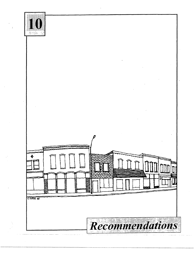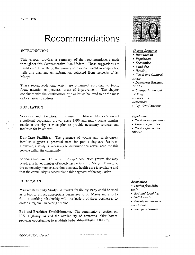# **Recommendations**

## INTRODUCTION

This chapter provides a summary of the recommendations made throughout this Comprehensive Plan Update. These suggestions are based on the results of the various studies conducted in conjunction with this plan and on information collected from residents of St. Marys.

These recommendations, which are organized according to topic, focus attention on potential areas of improvement. The chapter concludes with the identification of five issues believed to be the most critical areas to address.

# POPULATION

Services and Facilities. Because St. Marys has experienced significant population growth since 1990 and many young families reside in the city, it must plan to provide necessary services and facilities for its citizens.

Day-Care Facilities. The presence of young and single-parent families suggests a potential need for public day-care facilities. However, a study is necessary to determine the actual need for this service within the community.

Services for Senior Citizens. The rapid population growth also may . result in a larger number of elderly residents in St. Marys. Therefore, the community must ensure that adequate health care is available and that the community is accessible to this segment of the population.

# ECONOMICS

Market Feasibility Study. A market feasibility study could be used as a tool to attract appropriate businesses to St. Marys and also to form a working relationship with the leaders of these businesses to create a regional marketing scheme.

Bed-and-Breakfast Establishments. The community's location on U.S. Highway 24 and the availability of attractive older homes provides opportunities to establish bed-and-breakfasts in the city.



## *Chapter Sections:*

- *Introduction*
- *Population*
- *Economics*
- *Land Use*
- *Housing*
- *Visual and Cultural Assets*
- *Downtown Business District*
- *Transportation and Parking*
- *Parks and*
- *Recreation*
- *Top Five Concerns*

#### *Population:*

- *Services and facilities*
- *Day-care facilities*
- *Services for senior citizens*

#### *Economics:*

- Market feasibility *study*
- *Bed-and-breakfast establishments*
- *Downtown business association*
- *Job opportunities*

RECOMMEND. CHONS-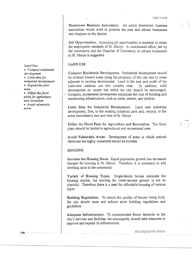Downtown Business Association. An active downtown business association would work to promote the area and attract businesses and shoppers to the district.

Job Opportunities. Increasing job opportunities is essential to retain the employable residents of St. Marys. A coordinated effort, led by the community and the Chamber of Commerce, to attract businesses to St. Marys is suggested.

# LAND USE

Compact Residential Development. Residential development should be directed toward areas along the periphery of the city and to areas adjacent to existing development. Land to the east and south of the Lakeview addition are two suitable sites. In addition, infill development on vacant lots within the city should be encouraged. - Compact, incremental development minimizes the cost of building and maintaining infrastructure, such as roads, sewers, and utilities.

Limit Sites for Industrial Development. Limit new industrial, development, first, to the existing industrial park and, second, to the areas immediately east and west of St. Marys.

Utilize the Flood Plain for Agriculture and Recreation. The flood *(*  plain should be limited to agricultural and recreational uses.

Avoid Vulnerable Areas. Development of areas in which natural resources are highly vulnerable should be avoided.

# HOUSING

Increase the Housing Stock. Rapid population growth has increased demand for housing *in* St. Marys. Therefore, it is necessary to add dwelling units to the community.

Variety of Housing Types. Single-family homes dominate the housing market, but housing for lower-income groups is not as plentiful. Therefore, there is a need for affordable housing of various types.

Building Regulations. To ensure the quality of houses being built, the city should issue and enforce strict building regulations and guidelines.

Adequate Infrastructure. To accommodate future demands on the city's services and facilities, the municipality should take measures to improve and expand its infrastructure.

Rf·:CO,\J,l!E.\'n.t Tl O:\S

### *Land Use:*

• *Compact residential development*  • *Limit sites for industrial development*  • *E.Y.pand the plan area*  • *Utilize the flood* 

*plain for agriculture and recreation*  • *A void vulnerable* 

*areas* 

 $-108$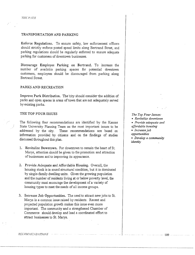# TRANSPORTATION AND PARKING

Enforce Regulations. To ensure safety, law enforcement officers should strictly enforce posted speed limits along Bertrand Street, and parking regulations should be regularly enforced to ensure adequate parking for customers of downtown businesses.

Discourage Employee Parking on Bertrand. To increase the number of available parking spaces for potential downtown customers, employees should be discouraged from parking along Bertrand Street.

## PARKS AND RECREATION

Improve Park Distribution. The city should consider the addition of parks and open spaces in areas of town that are not adequately served by existing parks.

# THE TOP FOUR ISSUES

The following four recommendations are identified by the Kansas State University Planning Team as the most important issues to be addressed by the city. These recommendations are based on information provided by citizens and on the findings of studies discussed throughout this plan.

- 1. Revitalize Downtown. For downtown to remain the heart of St. Marys, attention should be given to the promotion and attraction of businesses and to improving its appearance.
- 2. Provide Adequate and Affordable Housing. Overall, the housing stock *is* in sound structural condition, but it is dominated by single-family dwelling units. Given the growing population and the number of residents living at or below poverty level, the community must encourage the development of a variety of housing types to meet the needs of all income groups.
- 3. Increase Job Opportunities. The need to attract new jobs to St. Marys is a common issue raised by residents. Recent and projected population growth makes this issue even more important. The community and a strengthened Chamber of Commerce should develop and lead a coordinated effort to attract businesses to St. Marys.

*The Top Four Issues:*  • *Revitalize downtown*  • *Provide adequate and affordable housing*  • *Increase job opportunities*  • *Develop a community identity* 

RECOMMENDATIONS

 $-109-$